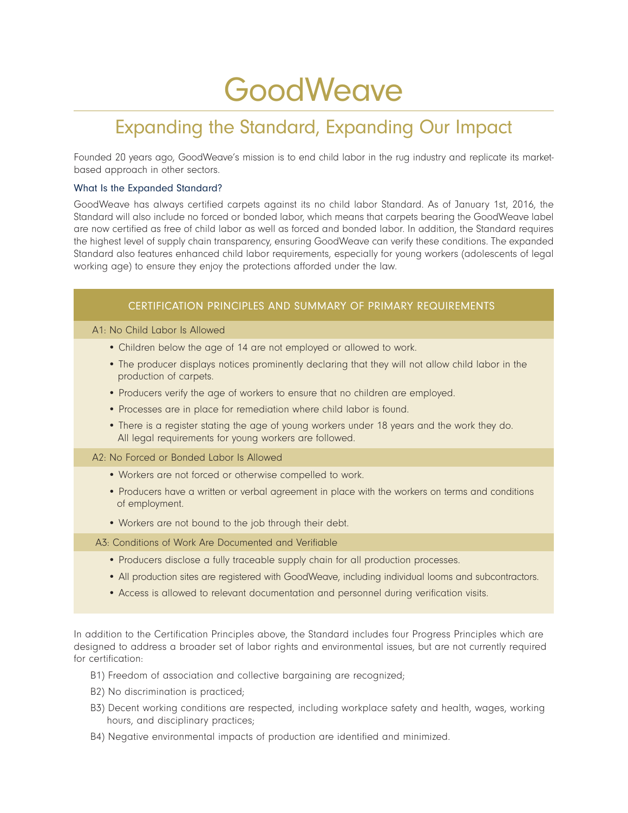# **GoodWeave**

# Expanding the Standard, Expanding Our Impact

Founded 20 years ago, GoodWeave's mission is to end child labor in the rug industry and replicate its marketbased approach in other sectors.

# What Is the Expanded Standard?

GoodWeave has always certified carpets against its no child labor Standard. As of January 1st, 2016, the Standard will also include no forced or bonded labor, which means that carpets bearing the GoodWeave label are now certified as free of child labor as well as forced and bonded labor. In addition, the Standard requires the highest level of supply chain transparency, ensuring GoodWeave can verify these conditions. The expanded Standard also features enhanced child labor requirements, especially for young workers (adolescents of legal working age) to ensure they enjoy the protections afforded under the law.

# CERTIFICATION PRINCIPLES AND SUMMARY OF PRIMARY REQUIREMENTS

#### A1: No Child Labor Is Allowed

- Children below the age of 14 are not employed or allowed to work.
- The producer displays notices prominently declaring that they will not allow child labor in the production of carpets.
- Producers verify the age of workers to ensure that no children are employed.
- Processes are in place for remediation where child labor is found.
- There is a register stating the age of young workers under 18 years and the work they do. All legal requirements for young workers are followed.

#### A2: No Forced or Bonded Labor Is Allowed

- Workers are not forced or otherwise compelled to work.
- Producers have a written or verbal agreement in place with the workers on terms and conditions of employment.
- Workers are not bound to the job through their debt.

# A3: Conditions of Work Are Documented and Verifiable

- Producers disclose a fully traceable supply chain for all production processes.
- All production sites are registered with GoodWeave, including individual looms and subcontractors.
- Access is allowed to relevant documentation and personnel during verification visits.

In addition to the Certification Principles above, the Standard includes four Progress Principles which are designed to address a broader set of labor rights and environmental issues, but are not currently required for certification:

- B1) Freedom of association and collective bargaining are recognized;
- B2) No discrimination is practiced;
- B3) Decent working conditions are respected, including workplace safety and health, wages, working hours, and disciplinary practices;
- B4) Negative environmental impacts of production are identified and minimized.